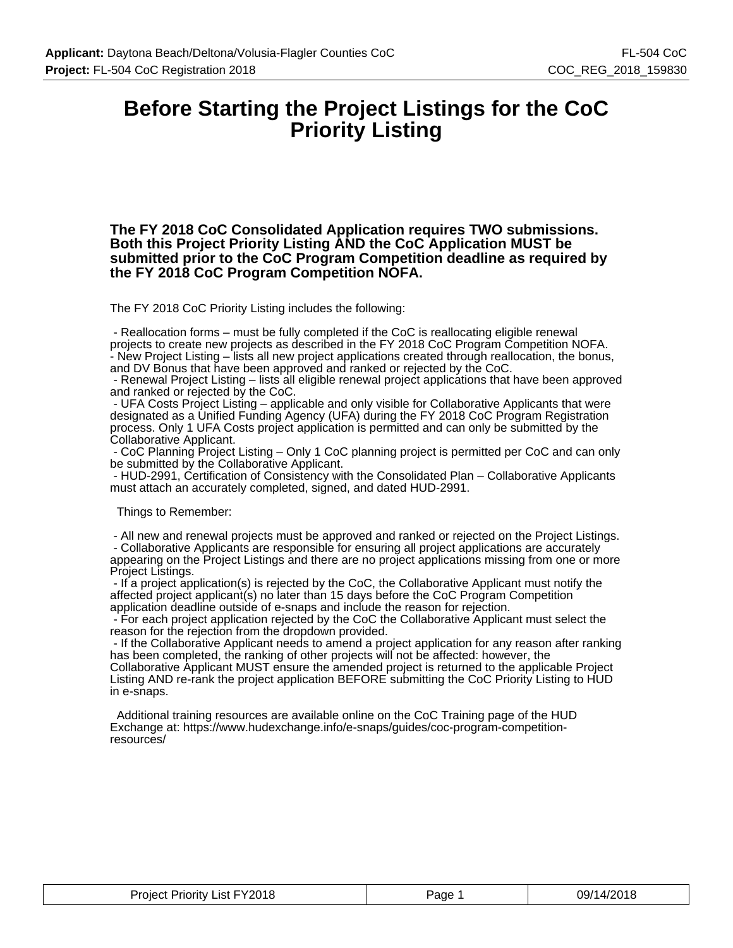### **Before Starting the Project Listings for the CoC Priority Listing**

**The FY 2018 CoC Consolidated Application requires TWO submissions. Both this Project Priority Listing AND the CoC Application MUST be submitted prior to the CoC Program Competition deadline as required by the FY 2018 CoC Program Competition NOFA.**

The FY 2018 CoC Priority Listing includes the following:

 - Reallocation forms – must be fully completed if the CoC is reallocating eligible renewal projects to create new projects as described in the FY 2018 CoC Program Competition NOFA. - New Project Listing – lists all new project applications created through reallocation, the bonus, and DV Bonus that have been approved and ranked or rejected by the CoC.

 - Renewal Project Listing – lists all eligible renewal project applications that have been approved and ranked or rejected by the CoC.

 - UFA Costs Project Listing – applicable and only visible for Collaborative Applicants that were designated as a Unified Funding Agency (UFA) during the FY 2018 CoC Program Registration process. Only 1 UFA Costs project application is permitted and can only be submitted by the Collaborative Applicant.

 - CoC Planning Project Listing – Only 1 CoC planning project is permitted per CoC and can only be submitted by the Collaborative Applicant.

 - HUD-2991, Certification of Consistency with the Consolidated Plan – Collaborative Applicants must attach an accurately completed, signed, and dated HUD-2991.

Things to Remember:

 - All new and renewal projects must be approved and ranked or rejected on the Project Listings. - Collaborative Applicants are responsible for ensuring all project applications are accurately appearing on the Project Listings and there are no project applications missing from one or more Project Listings.

 - If a project application(s) is rejected by the CoC, the Collaborative Applicant must notify the affected project applicant(s) no later than 15 days before the CoC Program Competition application deadline outside of e-snaps and include the reason for rejection.

 - For each project application rejected by the CoC the Collaborative Applicant must select the reason for the rejection from the dropdown provided.

 - If the Collaborative Applicant needs to amend a project application for any reason after ranking has been completed, the ranking of other projects will not be affected: however, the Collaborative Applicant MUST ensure the amended project is returned to the applicable Project Listing AND re-rank the project application BEFORE submitting the CoC Priority Listing to HUD in e-snaps.

 Additional training resources are available online on the CoC Training page of the HUD Exchange at: https://www.hudexchange.info/e-snaps/guides/coc-program-competitionresources/

| <b>List FY2018</b><br>Project.<br>Priority | Page | 14/2018<br>09/1<br>$ -$ |
|--------------------------------------------|------|-------------------------|
|--------------------------------------------|------|-------------------------|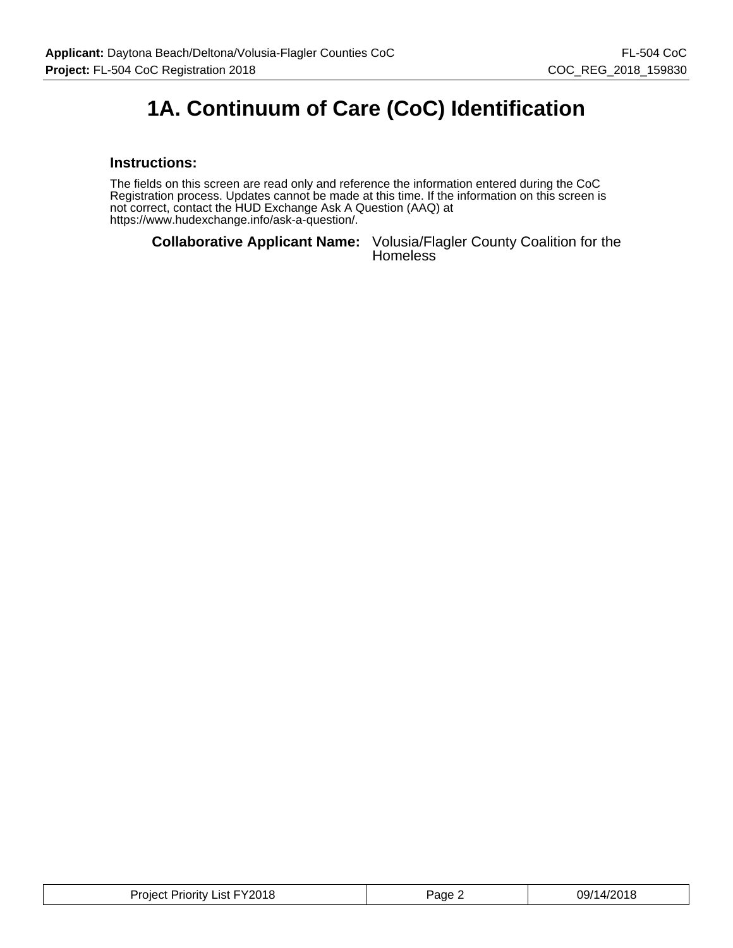### **1A. Continuum of Care (CoC) Identification**

#### **Instructions:**

The fields on this screen are read only and reference the information entered during the CoC Registration process. Updates cannot be made at this time. If the information on this screen is not correct, contact the HUD Exchange Ask A Question (AAQ) at https://www.hudexchange.info/ask-a-question/.

**Collaborative Applicant Name:** Volusia/Flagler County Coalition for the Homeless

| Project Priority List FY2018 | Page 2 | 09/14/2018 |
|------------------------------|--------|------------|
|------------------------------|--------|------------|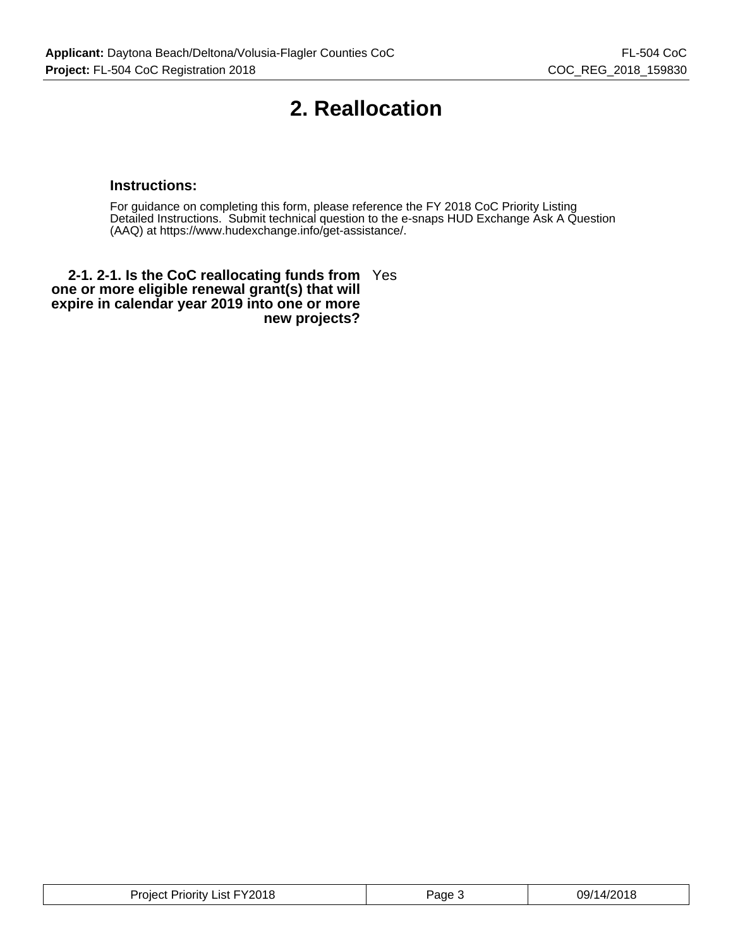### **2. Reallocation**

#### **Instructions:**

For guidance on completing this form, please reference the FY 2018 CoC Priority Listing Detailed Instructions. Submit technical question to the e-snaps HUD Exchange Ask A Question (AAQ) at https://www.hudexchange.info/get-assistance/.

**2-1. 2-1. Is the CoC reallocating funds from** Yes **one or more eligible renewal grant(s) that will expire in calendar year 2019 into one or more new projects?**

| 09/14/2018<br>FY2018<br><b>Priority List</b><br>Project <sup>r</sup><br>Page |  |
|------------------------------------------------------------------------------|--|
|------------------------------------------------------------------------------|--|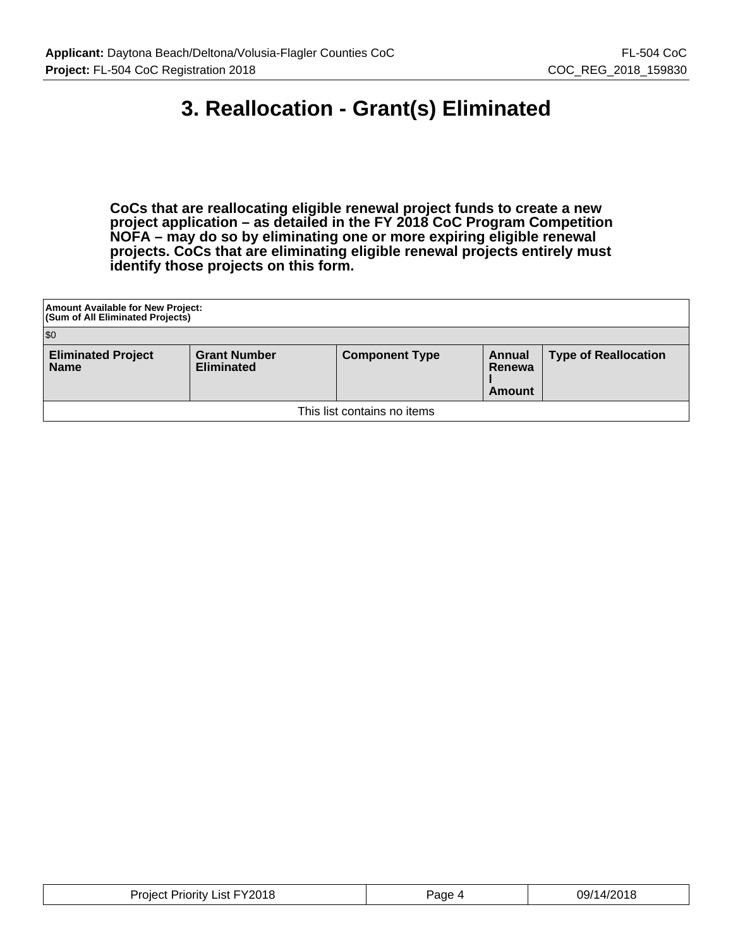### **3. Reallocation - Grant(s) Eliminated**

**CoCs that are reallocating eligible renewal project funds to create a new project application – as detailed in the FY 2018 CoC Program Competition NOFA – may do so by eliminating one or more expiring eligible renewal projects. CoCs that are eliminating eligible renewal projects entirely must identify those projects on this form.**

| Amount Available for New Project:<br>(Sum of All Eliminated Projects)                                                                                                      |  |  |  |  |  |
|----------------------------------------------------------------------------------------------------------------------------------------------------------------------------|--|--|--|--|--|
| $ $ \$0                                                                                                                                                                    |  |  |  |  |  |
| <b>Eliminated Project</b><br><b>Grant Number</b><br><b>Type of Reallocation</b><br><b>Component Type</b><br>Annual<br><b>Eliminated</b><br><b>Name</b><br>Renewa<br>Amount |  |  |  |  |  |
| This list contains no items                                                                                                                                                |  |  |  |  |  |

| <b>Project Priority List FY2018</b> | Page<br>$\overline{ }$ | 09/14/2018 |
|-------------------------------------|------------------------|------------|
|-------------------------------------|------------------------|------------|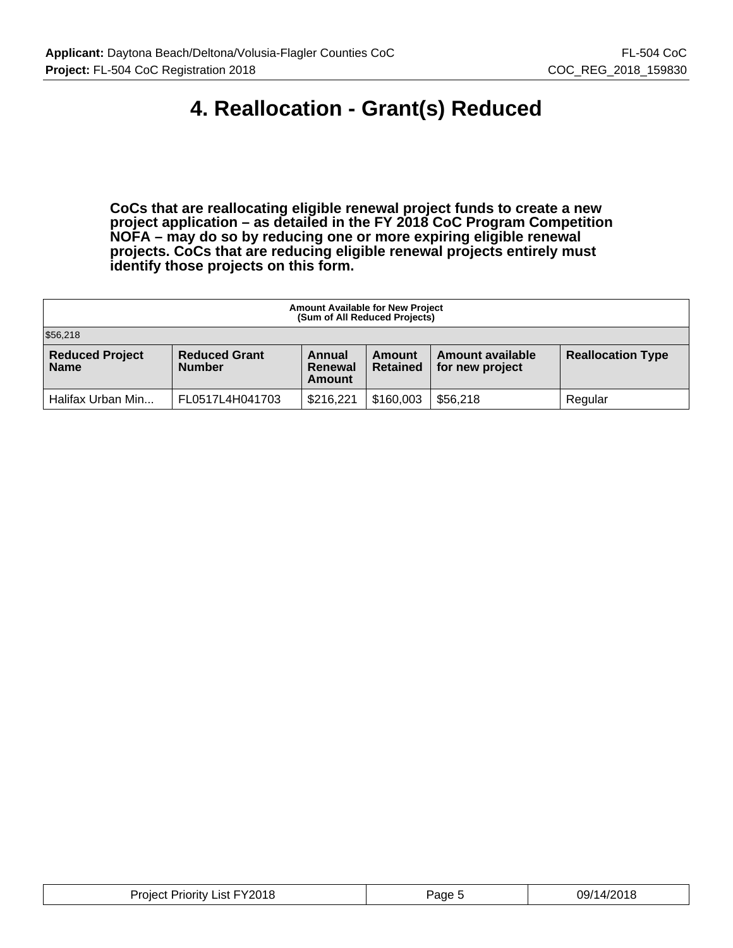### **4. Reallocation - Grant(s) Reduced**

**CoCs that are reallocating eligible renewal project funds to create a new project application – as detailed in the FY 2018 CoC Program Competition NOFA – may do so by reducing one or more expiring eligible renewal projects. CoCs that are reducing eligible renewal projects entirely must identify those projects on this form.**

| <b>Amount Available for New Project</b><br>(Sum of All Reduced Projects)                                                                                                                                      |  |  |  |  |  |  |
|---------------------------------------------------------------------------------------------------------------------------------------------------------------------------------------------------------------|--|--|--|--|--|--|
| \$56,218                                                                                                                                                                                                      |  |  |  |  |  |  |
| <b>Reduced Project</b><br><b>Reduced Grant</b><br><b>Reallocation Type</b><br>Amount available<br>Annual<br>Amount<br><b>Name</b><br><b>Number</b><br><b>Retained</b><br>for new project<br>Renewal<br>Amount |  |  |  |  |  |  |
| \$160,003<br>\$56,218<br>\$216,221<br>Halifax Urban Min<br>FL0517L4H041703<br>Regular                                                                                                                         |  |  |  |  |  |  |

| FY2018<br>$1 - 1$<br>_ıst<br>Priority<br>olect.<br>$\sim$ $\sim$ $\sim$ $\sim$ $\sim$ | 'aɑe | /14/201<br>39, |
|---------------------------------------------------------------------------------------|------|----------------|
|---------------------------------------------------------------------------------------|------|----------------|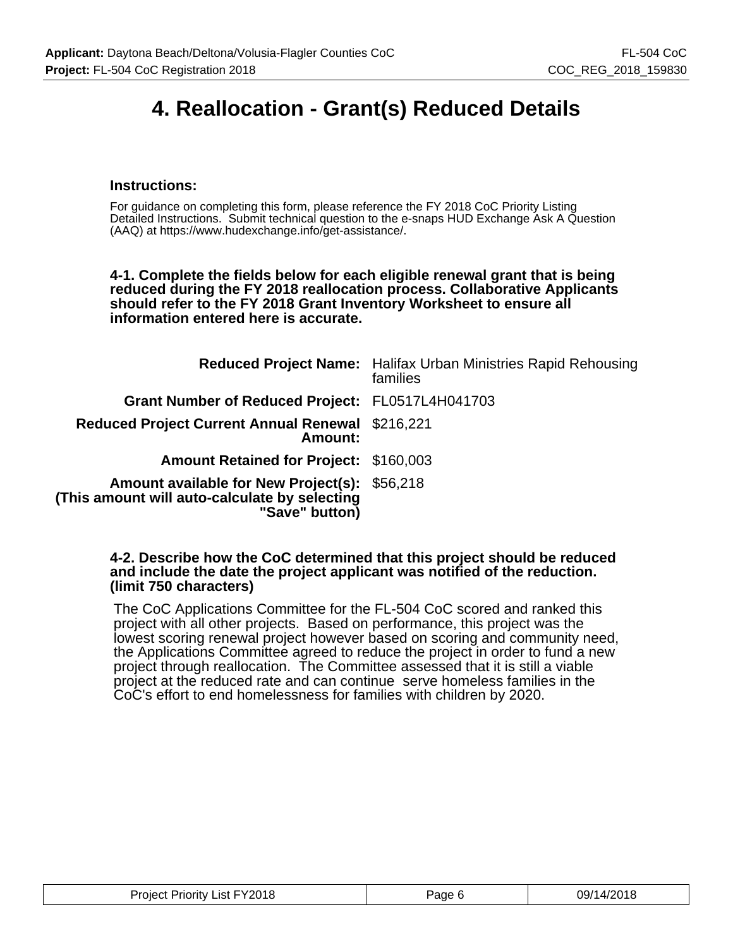### **4. Reallocation - Grant(s) Reduced Details**

#### **Instructions:**

For guidance on completing this form, please reference the FY 2018 CoC Priority Listing Detailed Instructions. Submit technical question to the e-snaps HUD Exchange Ask A Question (AAQ) at https://www.hudexchange.info/get-assistance/.

**4-1. Complete the fields below for each eligible renewal grant that is being reduced during the FY 2018 reallocation process. Collaborative Applicants should refer to the FY 2018 Grant Inventory Worksheet to ensure all information entered here is accurate.**

|                                                                                                                  | <b>Reduced Project Name:</b> Halifax Urban Ministries Rapid Rehousing<br>families |
|------------------------------------------------------------------------------------------------------------------|-----------------------------------------------------------------------------------|
| Grant Number of Reduced Project: FL0517L4H041703                                                                 |                                                                                   |
| Reduced Project Current Annual Renewal \$216,221<br>Amount:                                                      |                                                                                   |
| <b>Amount Retained for Project: \$160,003</b>                                                                    |                                                                                   |
| Amount available for New Project(s): \$56,218<br>(This amount will auto-calculate by selecting<br>"Save" button) |                                                                                   |

#### **4-2. Describe how the CoC determined that this project should be reduced and include the date the project applicant was notified of the reduction. (limit 750 characters)**

The CoC Applications Committee for the FL-504 CoC scored and ranked this project with all other projects. Based on performance, this project was the lowest scoring renewal project however based on scoring and community need, the Applications Committee agreed to reduce the project in order to fund a new project through reallocation. The Committee assessed that it is still a viable project at the reduced rate and can continue serve homeless families in the CoC's effort to end homelessness for families with children by 2020.

| Project Priority List FY2018 | Page 6 | 09/14/2018 |
|------------------------------|--------|------------|
|------------------------------|--------|------------|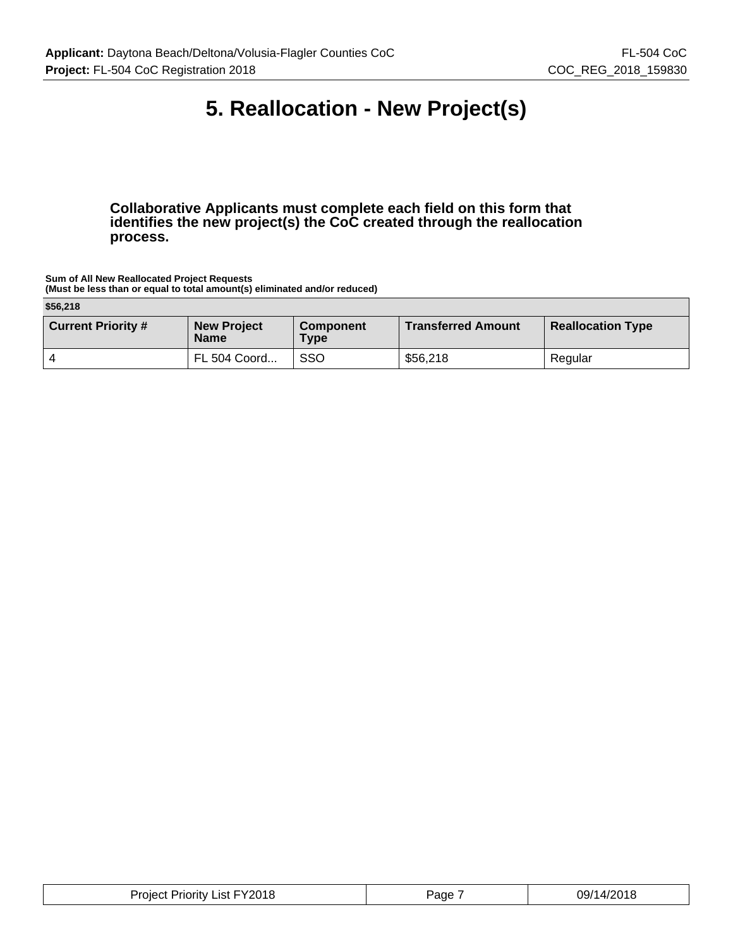### **5. Reallocation - New Project(s)**

**Collaborative Applicants must complete each field on this form that identifies the new project(s) the CoC created through the reallocation process.**

**Sum of All New Reallocated Project Requests (Must be less than or equal to total amount(s) eliminated and/or reduced)**

| \$56,218                  |                                   |                          |                           |                          |  |
|---------------------------|-----------------------------------|--------------------------|---------------------------|--------------------------|--|
| <b>Current Priority #</b> | <b>New Project</b><br><b>Name</b> | <b>Component</b><br>Type | <b>Transferred Amount</b> | <b>Reallocation Type</b> |  |
|                           | FL 504 Coord                      | <b>SSO</b>               | \$56,218                  | Regular                  |  |

| Project Priority List FY2018<br>____ | Page | 09/14/2018 |
|--------------------------------------|------|------------|
|--------------------------------------|------|------------|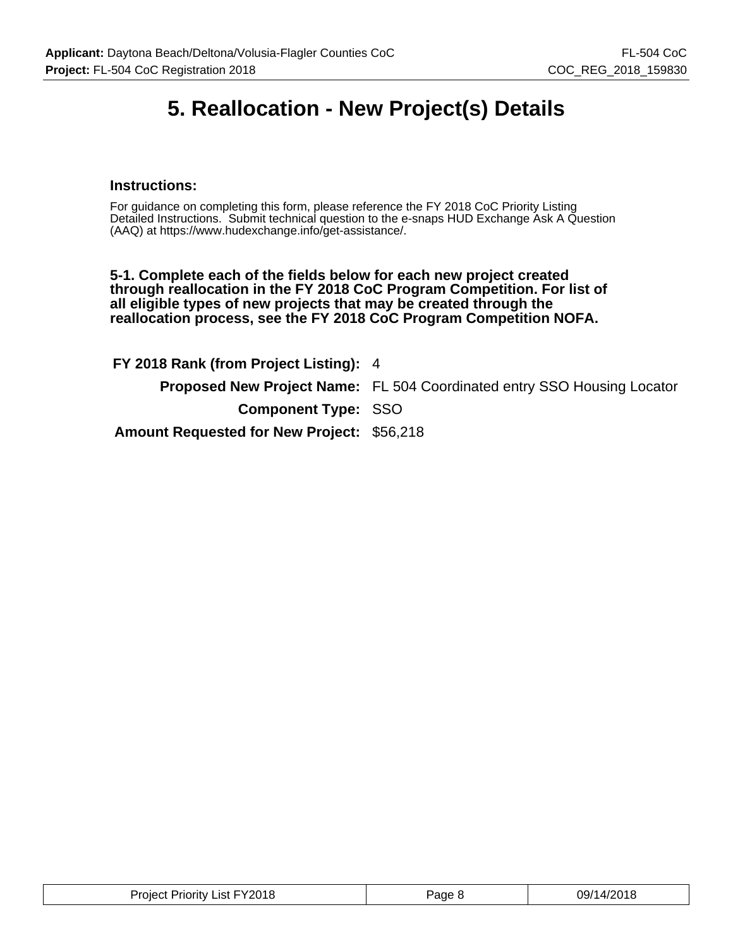### **5. Reallocation - New Project(s) Details**

#### **Instructions:**

For guidance on completing this form, please reference the FY 2018 CoC Priority Listing Detailed Instructions. Submit technical question to the e-snaps HUD Exchange Ask A Question (AAQ) at https://www.hudexchange.info/get-assistance/.

**5-1. Complete each of the fields below for each new project created through reallocation in the FY 2018 CoC Program Competition. For list of all eligible types of new projects that may be created through the reallocation process, see the FY 2018 CoC Program Competition NOFA.**

**FY 2018 Rank (from Project Listing):** 4 **Proposed New Project Name:** FL 504 Coordinated entry SSO Housing Locator **Component Type:** SSO **Amount Requested for New Project:** \$56,218

| <b>Project Priority List FY2018</b> | Page & | 09/14/2018 |
|-------------------------------------|--------|------------|
|-------------------------------------|--------|------------|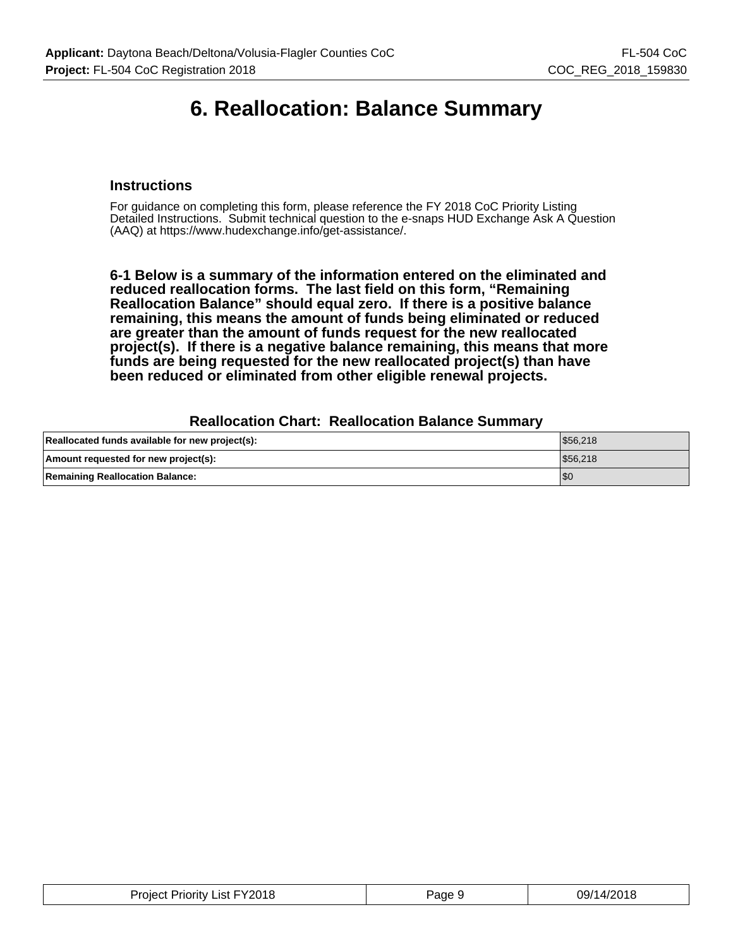### **6. Reallocation: Balance Summary**

#### **Instructions**

For guidance on completing this form, please reference the FY 2018 CoC Priority Listing Detailed Instructions. Submit technical question to the e-snaps HUD Exchange Ask A Question (AAQ) at https://www.hudexchange.info/get-assistance/.

**6-1 Below is a summary of the information entered on the eliminated and reduced reallocation forms. The last field on this form, "Remaining Reallocation Balance" should equal zero. If there is a positive balance remaining, this means the amount of funds being eliminated or reduced are greater than the amount of funds request for the new reallocated project(s). If there is a negative balance remaining, this means that more funds are being requested for the new reallocated project(s) than have been reduced or eliminated from other eligible renewal projects.**

#### **Reallocation Chart: Reallocation Balance Summary**

| Reallocated funds available for new project(s): | \$56,218 |
|-------------------------------------------------|----------|
| Amount requested for new project(s):            | \$56,218 |
| <b>Remaining Reallocation Balance:</b>          | 'SC      |

| Project Priority List FY2018 | Page 9 | 09/14/2018 |
|------------------------------|--------|------------|
|------------------------------|--------|------------|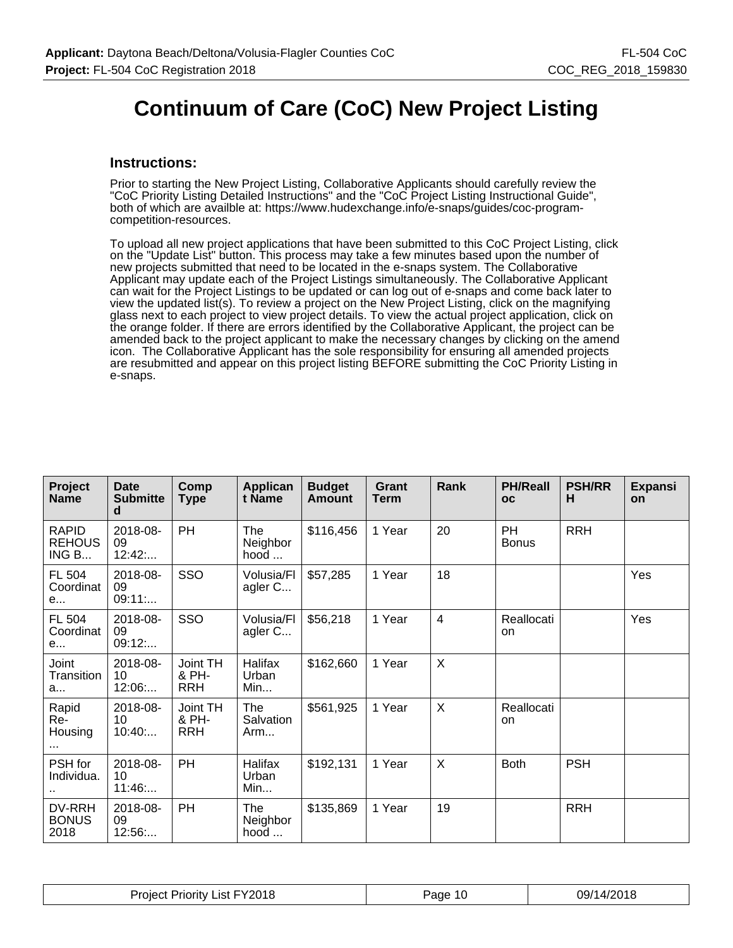### **Continuum of Care (CoC) New Project Listing**

#### **Instructions:**

Prior to starting the New Project Listing, Collaborative Applicants should carefully review the "CoC Priority Listing Detailed Instructions" and the "CoC Project Listing Instructional Guide", both of which are availble at: https://www.hudexchange.info/e-snaps/guides/coc-programcompetition-resources.

To upload all new project applications that have been submitted to this CoC Project Listing, click on the "Update List" button. This process may take a few minutes based upon the number of new projects submitted that need to be located in the e-snaps system. The Collaborative Applicant may update each of the Project Listings simultaneously. The Collaborative Applicant can wait for the Project Listings to be updated or can log out of e-snaps and come back later to view the updated list(s). To review a project on the New Project Listing, click on the magnifying glass next to each project to view project details. To view the actual project application, click on the orange folder. If there are errors identified by the Collaborative Applicant, the project can be amended back to the project applicant to make the necessary changes by clicking on the amend icon. The Collaborative Applicant has the sole responsibility for ensuring all amended projects are resubmitted and appear on this project listing BEFORE submitting the CoC Priority Listing in e-snaps.

| Project<br><b>Name</b>                 | Date<br><b>Submitte</b><br>d | Comp<br><b>Type</b>             | Applican<br>t Name             | <b>Budget</b><br><b>Amount</b> | Grant<br><b>Term</b> | Rank                    | <b>PH/Reall</b><br><b>OC</b> | <b>PSH/RR</b><br>н | <b>Expansi</b><br>on |
|----------------------------------------|------------------------------|---------------------------------|--------------------------------|--------------------------------|----------------------|-------------------------|------------------------------|--------------------|----------------------|
| <b>RAPID</b><br><b>REHOUS</b><br>ING B | 2018-08-<br>09<br>12:42      | PH                              | The<br>Neighbor<br>hood        | \$116,456                      | 1 Year               | 20                      | <b>PH</b><br><b>Bonus</b>    | <b>RRH</b>         |                      |
| FL 504<br>Coordinat<br>e               | 2018-08-<br>09<br>09:11:     | SSO                             | Volusia/Fl<br>agler C          | \$57,285                       | 1 Year               | 18                      |                              |                    | Yes                  |
| FL 504<br>Coordinat<br>e               | 2018-08-<br>09<br>09:12:     | SSO                             | Volusia/Fl<br>agler C          | \$56,218                       | 1 Year               | $\overline{\mathbf{4}}$ | Reallocati<br><sub>on</sub>  |                    | Yes                  |
| Joint<br>Transition<br>a               | 2018-08-<br>10<br>12:06      | Joint TH<br>& PH-<br><b>RRH</b> | Halifax<br>Urban<br>Min        | \$162,660                      | 1 Year               | X                       |                              |                    |                      |
| Rapid<br>Re-<br>Housing<br>            | 2018-08-<br>10<br>10:40      | Joint TH<br>& PH-<br><b>RRH</b> | The<br>Salvation<br>Arm        | \$561,925                      | 1 Year               | X                       | Reallocati<br><b>on</b>      |                    |                      |
| <b>PSH</b> for<br>Individua.<br>٠.     | 2018-08-<br>10<br>11:46      | PH                              | Halifax<br>Urban<br>Min        | \$192,131                      | 1 Year               | $\sf X$                 | <b>Both</b>                  | <b>PSH</b>         |                      |
| DV-RRH<br><b>BONUS</b><br>2018         | 2018-08-<br>09<br>12:56      | PH                              | <b>The</b><br>Neighbor<br>hood | \$135,869                      | 1 Year               | 19                      |                              | <b>RRH</b>         |                      |

| List FY2018<br><b>Project</b> F<br>Priority | Page | 09/14/2018 |
|---------------------------------------------|------|------------|
|---------------------------------------------|------|------------|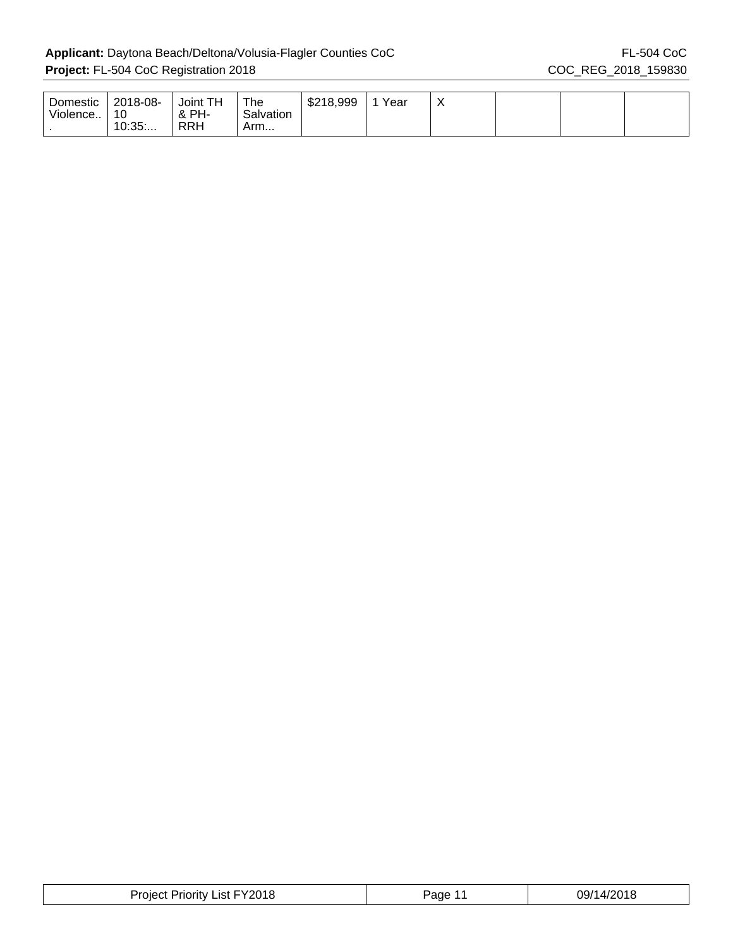| Domestic<br>Violence | 2018-08-<br>10<br>10:35 | TН<br>Joint<br>& PH-<br>RRH | The<br>Salvation<br>Arm | \$218,999 | Year | $\lambda$ |  |  |
|----------------------|-------------------------|-----------------------------|-------------------------|-----------|------|-----------|--|--|
|                      |                         |                             |                         |           |      |           |  |  |

| List FY2018<br>Project<br>Priority | Page | 2018<br>09/14/ |
|------------------------------------|------|----------------|
|------------------------------------|------|----------------|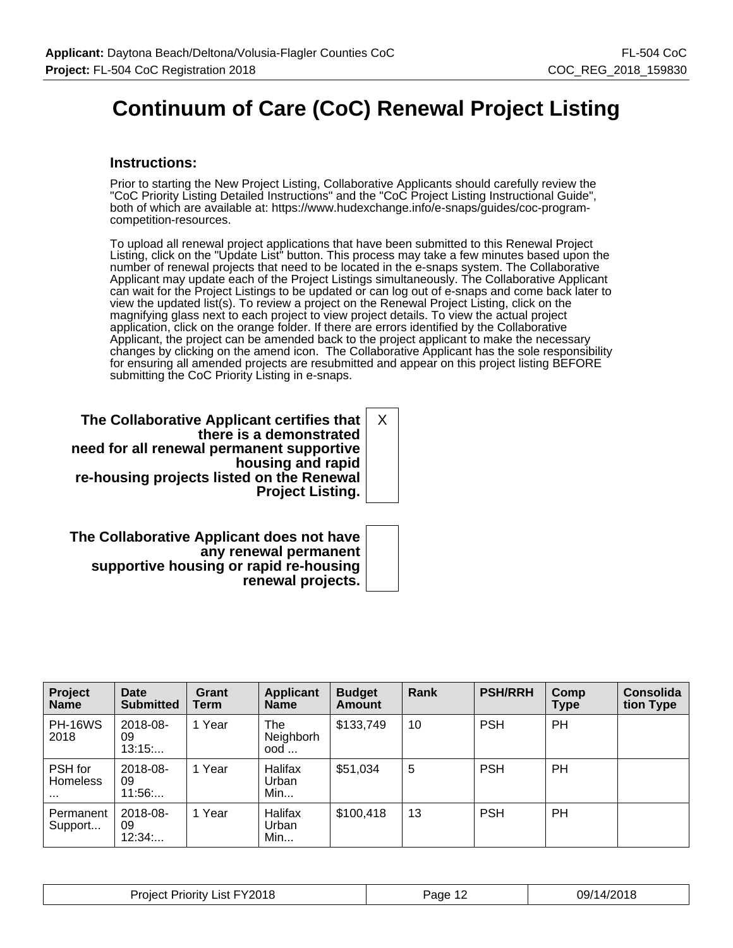## **Continuum of Care (CoC) Renewal Project Listing**

#### **Instructions:**

Prior to starting the New Project Listing, Collaborative Applicants should carefully review the "CoC Priority Listing Detailed Instructions" and the "CoC Project Listing Instructional Guide", both of which are available at: https://www.hudexchange.info/e-snaps/guides/coc-programcompetition-resources.

To upload all renewal project applications that have been submitted to this Renewal Project Listing, click on the "Update List" button. This process may take a few minutes based upon the number of renewal projects that need to be located in the e-snaps system. The Collaborative Applicant may update each of the Project Listings simultaneously. The Collaborative Applicant can wait for the Project Listings to be updated or can log out of e-snaps and come back later to view the updated list(s). To review a project on the Renewal Project Listing, click on the magnifying glass next to each project to view project details. To view the actual project application, click on the orange folder. If there are errors identified by the Collaborative Applicant, the project can be amended back to the project applicant to make the necessary changes by clicking on the amend icon. The Collaborative Applicant has the sole responsibility for ensuring all amended projects are resubmitted and appear on this project listing BEFORE submitting the CoC Priority Listing in e-snaps.

**The Collaborative Applicant certifies that there is a demonstrated need for all renewal permanent supportive housing and rapid re-housing projects listed on the Renewal Project Listing.** X

**The Collaborative Applicant does not have any renewal permanent supportive housing or rapid re-housing renewal projects.**

| Project<br><b>Name</b>          | <b>Date</b><br><b>Submitted</b> | Grant<br>Term | <b>Applicant</b><br><b>Name</b> | <b>Budget</b><br><b>Amount</b> | Rank | <b>PSH/RRH</b> | Comp<br>Type | <b>Consolida</b><br>tion Type |
|---------------------------------|---------------------------------|---------------|---------------------------------|--------------------------------|------|----------------|--------------|-------------------------------|
| <b>PH-16WS</b><br>2018          | 2018-08-<br>09<br>13:15         | 1 Year        | The<br>Neighborh<br>ood         | \$133,749                      | 10   | <b>PSH</b>     | PH           |                               |
| PSH for<br>Homeless<br>$\cdots$ | 2018-08-<br>09<br>11:56         | 1 Year        | Halifax<br>Urban<br>Min         | \$51,034                       | 5    | <b>PSH</b>     | PH           |                               |
| Permanent<br>Support            | 2018-08-<br>09<br>12:34         | 1 Year        | Halifax<br>Urban<br>Min         | \$100,418                      | 13   | <b>PSH</b>     | PH           |                               |

| FY2018<br>میں<br>-ist<br>riority<br>nier | ane | A/2018<br>na/1<br>טו ש |
|------------------------------------------|-----|------------------------|
|------------------------------------------|-----|------------------------|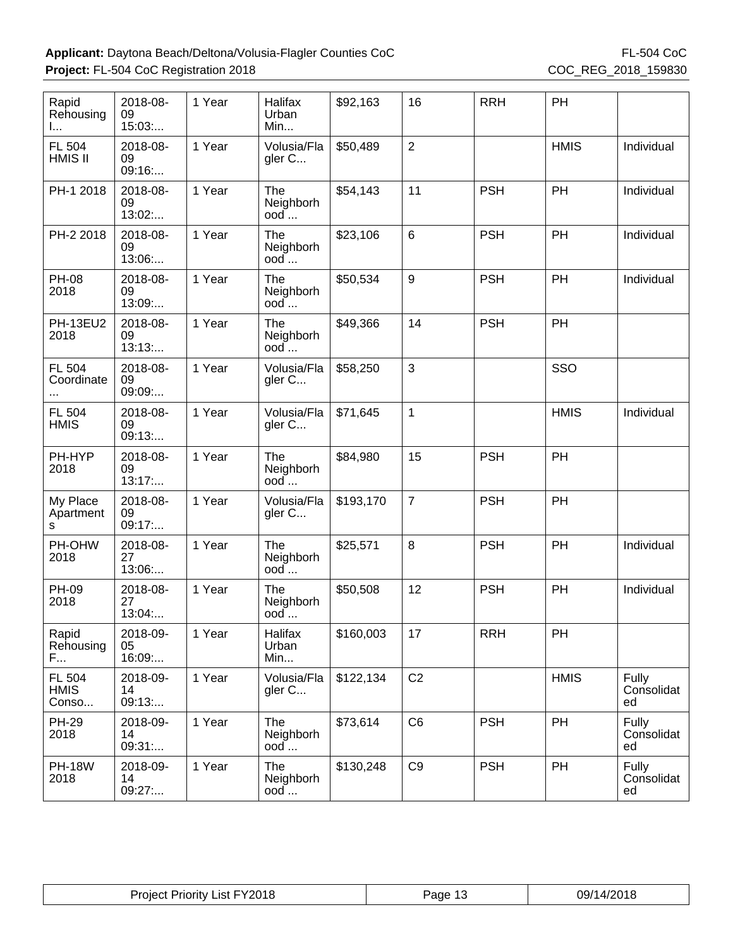| Rapid<br>Rehousing<br>I.       | 2018-08-<br>09<br>15:03  | 1 Year | Halifax<br>Urban<br>Min          | \$92,163  | 16             | <b>RRH</b> | PH          |                           |
|--------------------------------|--------------------------|--------|----------------------------------|-----------|----------------|------------|-------------|---------------------------|
| FL 504<br>HMIS II              | 2018-08-<br>09<br>09:16: | 1 Year | Volusia/Fla<br>gler C            | \$50,489  | $\overline{2}$ |            | <b>HMIS</b> | Individual                |
| PH-1 2018                      | 2018-08-<br>09<br>13:02  | 1 Year | <b>The</b><br>Neighborh<br>$ood$ | \$54,143  | 11             | <b>PSH</b> | PH          | Individual                |
| PH-2 2018                      | 2018-08-<br>09<br>13:06: | 1 Year | The<br>Neighborh<br>ood          | \$23,106  | $6\phantom{1}$ | <b>PSH</b> | PH          | Individual                |
| <b>PH-08</b><br>2018           | 2018-08-<br>09<br>13:09: | 1 Year | The<br>Neighborh<br>ood          | \$50,534  | 9              | <b>PSH</b> | PH          | Individual                |
| <b>PH-13EU2</b><br>2018        | 2018-08-<br>09<br>13:13  | 1 Year | The<br>Neighborh<br>$ood$        | \$49,366  | 14             | <b>PSH</b> | PH          |                           |
| FL 504<br>Coordinate           | 2018-08-<br>09<br>09:09  | 1 Year | Volusia/Fla<br>gler C            | \$58,250  | $\mathbf{3}$   |            | SSO         |                           |
| FL 504<br><b>HMIS</b>          | 2018-08-<br>09<br>09:13: | 1 Year | Volusia/Fla<br>gler C            | \$71,645  | $\mathbf{1}$   |            | <b>HMIS</b> | Individual                |
| PH-HYP<br>2018                 | 2018-08-<br>09<br>13:17  | 1 Year | <b>The</b><br>Neighborh<br>$ood$ | \$84,980  | 15             | <b>PSH</b> | PH          |                           |
| My Place<br>Apartment<br>s     | 2018-08-<br>09<br>09:17: | 1 Year | Volusia/Fla<br>gler C            | \$193,170 | $\overline{7}$ | <b>PSH</b> | PH          |                           |
| PH-OHW<br>2018                 | 2018-08-<br>27<br>13:06: | 1 Year | The<br>Neighborh<br>ood          | \$25,571  | $\, 8$         | <b>PSH</b> | PH          | Individual                |
| <b>PH-09</b><br>2018           | 2018-08-<br>27<br>13:04: | 1 Year | The<br>Neighborh<br>$ood$        | \$50,508  | 12             | <b>PSH</b> | PH          | Individual                |
| Rapid<br>Rehousing<br>F        | 2018-09-<br>05<br>16:09: | 1 Year | Halifax<br>Urban<br>Min          | \$160,003 | 17             | <b>RRH</b> | PH          |                           |
| FL 504<br><b>HMIS</b><br>Conso | 2018-09-<br>14<br>09:13: | 1 Year | Volusia/Fla<br>gler C            | \$122,134 | C <sub>2</sub> |            | <b>HMIS</b> | Fully<br>Consolidat<br>ed |
| <b>PH-29</b><br>2018           | 2018-09-<br>14<br>09:31: | 1 Year | The<br>Neighborh<br>$ood$        | \$73,614  | C <sub>6</sub> | <b>PSH</b> | PH          | Fully<br>Consolidat<br>ed |
| <b>PH-18W</b><br>2018          | 2018-09-<br>14<br>09:27: | 1 Year | The<br>Neighborh<br>ood          | \$130,248 | C <sub>9</sub> | <b>PSH</b> | PH          | Fully<br>Consolidat<br>ed |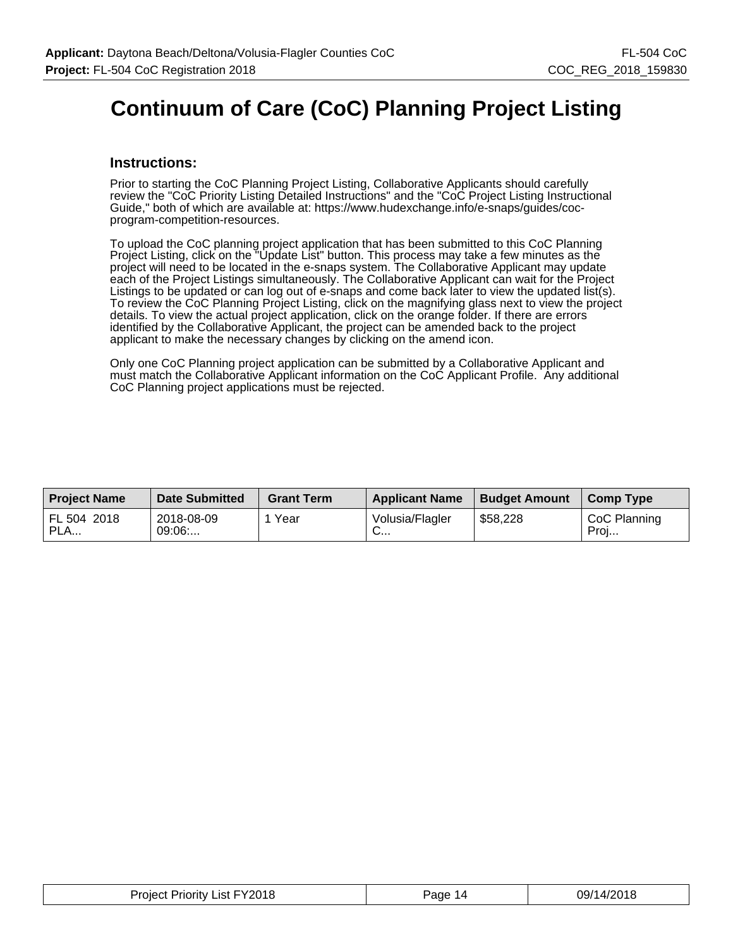## **Continuum of Care (CoC) Planning Project Listing**

#### **Instructions:**

Prior to starting the CoC Planning Project Listing, Collaborative Applicants should carefully review the "CoC Priority Listing Detailed Instructions" and the "CoC Project Listing Instructional Guide," both of which are available at: https://www.hudexchange.info/e-snaps/guides/cocprogram-competition-resources.

To upload the CoC planning project application that has been submitted to this CoC Planning Project Listing, click on the "Update List" button. This process may take a few minutes as the project will need to be located in the e-snaps system. The Collaborative Applicant may update each of the Project Listings simultaneously. The Collaborative Applicant can wait for the Project Listings to be updated or can log out of e-snaps and come back later to view the updated list(s). To review the CoC Planning Project Listing, click on the magnifying glass next to view the project details. To view the actual project application, click on the orange folder. If there are errors identified by the Collaborative Applicant, the project can be amended back to the project applicant to make the necessary changes by clicking on the amend icon.

Only one CoC Planning project application can be submitted by a Collaborative Applicant and must match the Collaborative Applicant information on the CoC Applicant Profile. Any additional CoC Planning project applications must be rejected.

| <b>Project Name</b> | <b>Date Submitted</b> | <b>Grant Term</b> | <b>Applicant Name</b> | <b>Budget Amount</b> | Comp Type            |
|---------------------|-----------------------|-------------------|-----------------------|----------------------|----------------------|
| FL 504 2018<br>PLA  | 2018-08-09<br>09:06   | Year              | Volusia/Flagler<br>◡… | \$58,228             | CoC Planning<br>Proj |

| <b>Project Priority List FY2018</b> | Page <sup>1</sup><br>14 | 09/14/2018 |
|-------------------------------------|-------------------------|------------|
|-------------------------------------|-------------------------|------------|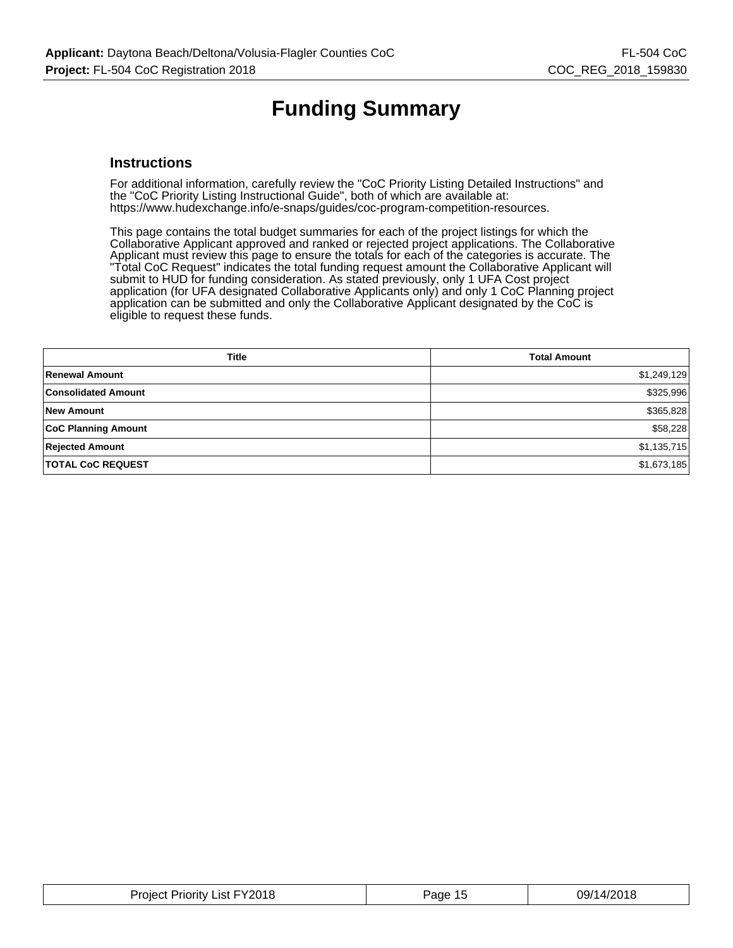# **Funding Summary**

#### **Instructions**

For additional information, carefully review the "CoC Priority Listing Detailed Instructions" and the "CoC Priority Listing Instructional Guide", both of which are available at: https://www.hudexchange.info/e-snaps/guides/coc-program-competition-resources.

This page contains the total budget summaries for each of the project listings for which the Collaborative Applicant approved and ranked or rejected project applications. The Collaborative Applicant must review this page to ensure the totals for each of the categories is accurate. The "Total CoC Request" indicates the total funding request amount the Collaborative Applicant will submit to HUD for funding consideration. As stated previously, only 1 UFA Cost project application (for UFA designated Collaborative Applicants only) and only 1 CoC Planning project application can be submitted and only the Collaborative Applicant designated by the CoC is eligible to request these funds.

| <b>Title</b>               | <b>Total Amount</b> |
|----------------------------|---------------------|
| Renewal Amount             | \$1,249,129         |
| <b>Consolidated Amount</b> | \$325,996           |
| <b>New Amount</b>          | \$365,828           |
| <b>CoC Planning Amount</b> | \$58,228            |
| <b>Rejected Amount</b>     | \$1,135,715         |
| <b>TOTAL CoC REQUEST</b>   | \$1,673,185         |

| FY2018<br>Proiect<br>∟ist F<br>Priority | Pane<br>د. | /מה<br>ບວກ<br>טו |
|-----------------------------------------|------------|------------------|
|                                         |            |                  |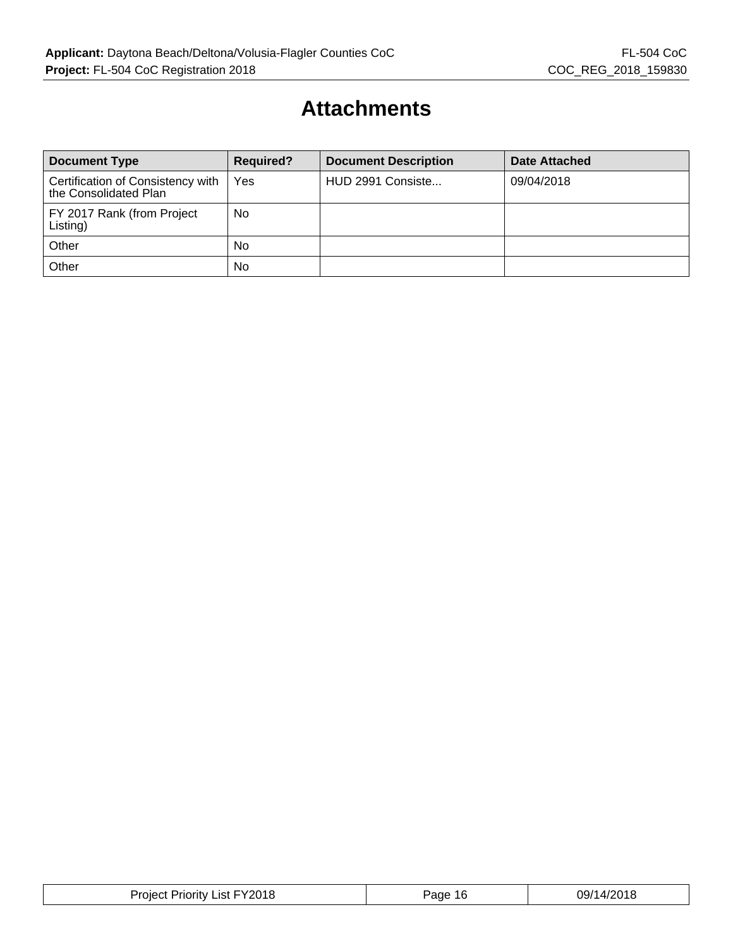### **Attachments**

| <b>Document Type</b>                                       | <b>Required?</b> | <b>Document Description</b> | <b>Date Attached</b> |
|------------------------------------------------------------|------------------|-----------------------------|----------------------|
| Certification of Consistency with<br>the Consolidated Plan | Yes              | HUD 2991 Consiste           | 09/04/2018           |
| FY 2017 Rank (from Project<br>Listing)                     | No               |                             |                      |
| Other                                                      | <b>No</b>        |                             |                      |
| Other                                                      | No               |                             |                      |

| <b>FY2018</b><br>Proiect<br>Priority.<br>_ıst I | Page<br>16 | 09/14/2018 |
|-------------------------------------------------|------------|------------|
|-------------------------------------------------|------------|------------|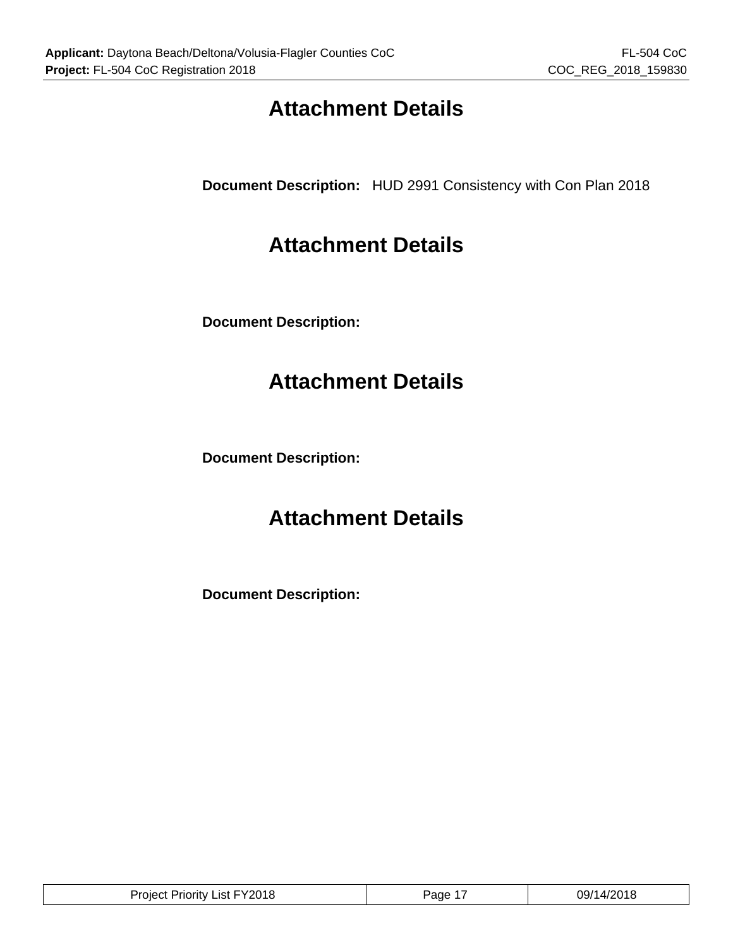## **Attachment Details**

**Document Description:** HUD 2991 Consistency with Con Plan 2018

### **Attachment Details**

**Document Description:**

## **Attachment Details**

**Document Description:**

## **Attachment Details**

**Document Description:**

| Project Priority List FY2018 | Page | 09/14/2018 |
|------------------------------|------|------------|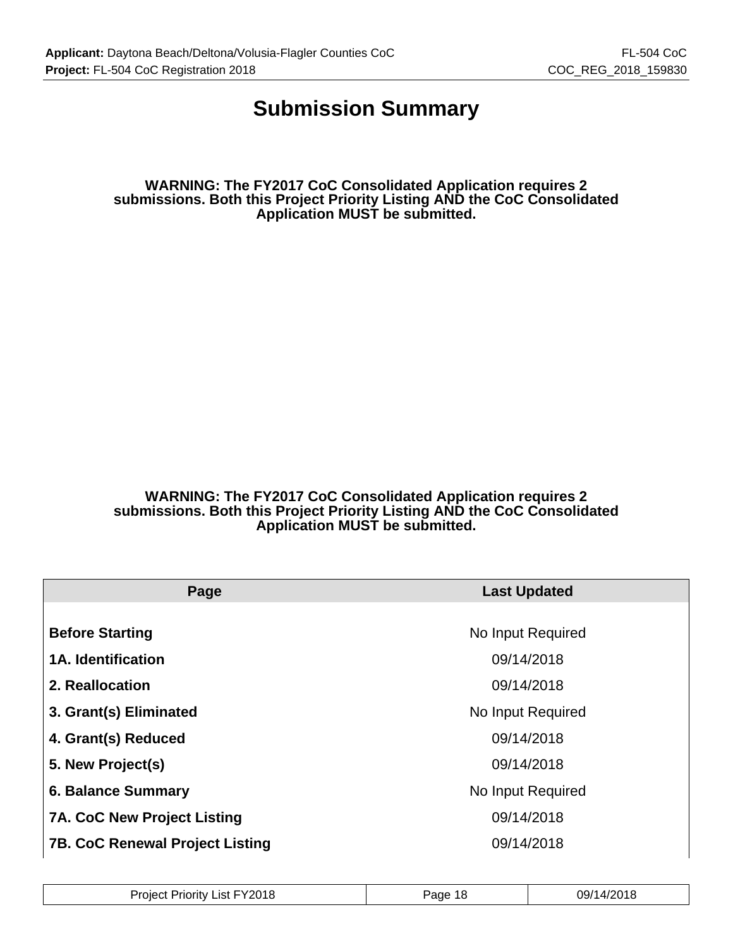### **Submission Summary**

**WARNING: The FY2017 CoC Consolidated Application requires 2 submissions. Both this Project Priority Listing AND the CoC Consolidated Application MUST be submitted.**

**WARNING: The FY2017 CoC Consolidated Application requires 2 submissions. Both this Project Priority Listing AND the CoC Consolidated Application MUST be submitted.**

| Page                                   | <b>Last Updated</b> |
|----------------------------------------|---------------------|
|                                        |                     |
| <b>Before Starting</b>                 | No Input Required   |
| <b>1A. Identification</b>              | 09/14/2018          |
| 2. Reallocation                        | 09/14/2018          |
| 3. Grant(s) Eliminated                 | No Input Required   |
| 4. Grant(s) Reduced                    | 09/14/2018          |
| 5. New Project(s)                      | 09/14/2018          |
| <b>6. Balance Summary</b>              | No Input Required   |
| <b>7A. CoC New Project Listing</b>     | 09/14/2018          |
| <b>7B. CoC Renewal Project Listing</b> | 09/14/2018          |

| Y2018<br>$.$ Jrs.<br>Priorit∖<br>.ıst.<br>Tolec | aae<br>10 | 1001<br>∩Q/1<br>ي ا<br>ບວກ |
|-------------------------------------------------|-----------|----------------------------|
|-------------------------------------------------|-----------|----------------------------|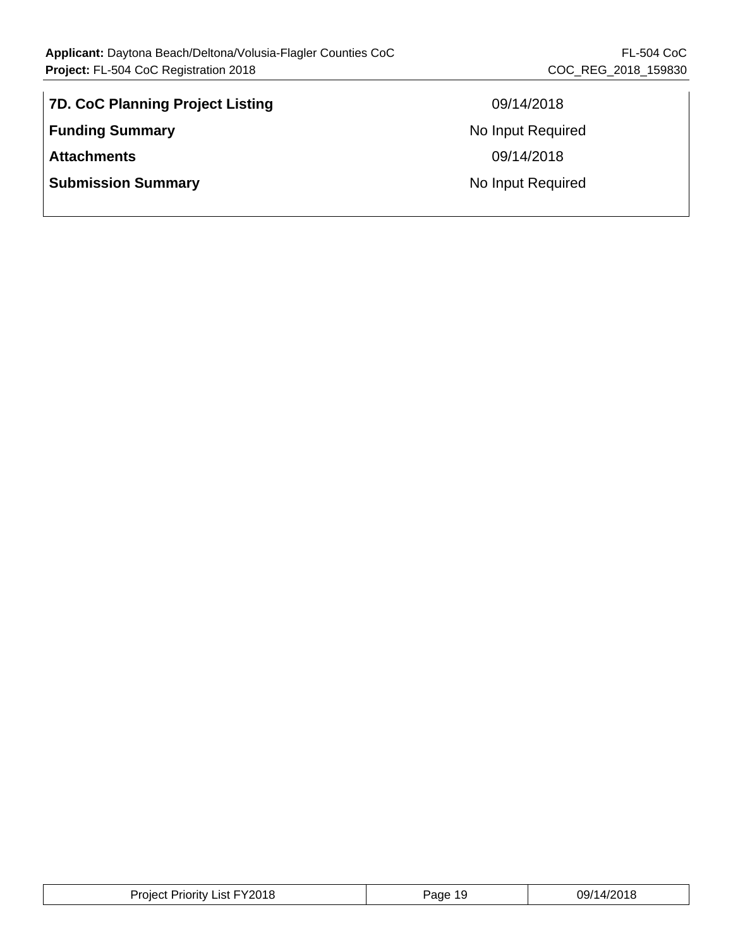| 7D. CoC Planning Project Listing |
|----------------------------------|
| <b>Funding Summary</b>           |
| <b>Attachments</b>               |
| <b>Submission Summary</b>        |
|                                  |

**7D. CoC Planning Project Listing** 09/14/2018 **No Input Required Attachments** 09/14/2018 **No Input Required** 

| List FY2018<br>Proiect<br>Priority | ane<br>19. | 09/14/2018 |
|------------------------------------|------------|------------|
|------------------------------------|------------|------------|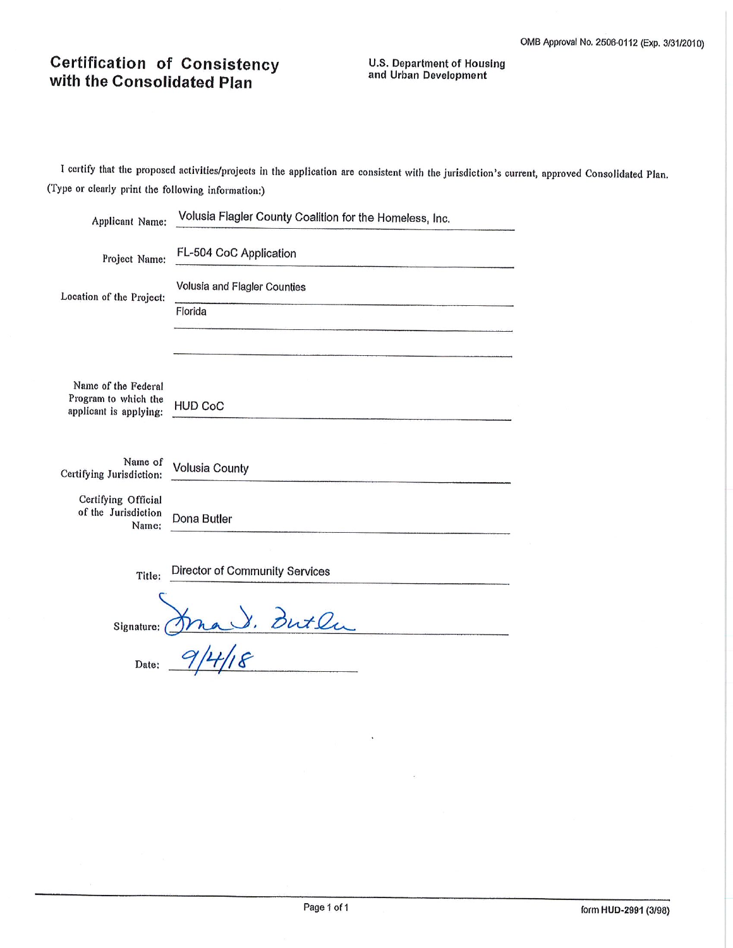### **Certification of Consistency** with the Consolidated Plan

**U.S. Department of Housing** and Urban Development

I certify that the proposed activities/projects in the application are consistent with the jurisdiction's current, approved Consolidated Plan. (Type or clearly print the following information:)

| Applicant Name:                                     | Volusia Flagler County Coalition for the Homeless, Inc. |
|-----------------------------------------------------|---------------------------------------------------------|
| Project Name:                                       | FL-504 CoC Application                                  |
| Location of the Project:                            | Volusia and Flagler Counties                            |
|                                                     | Florida                                                 |
|                                                     |                                                         |
| Name of the Federal<br>Program to which the         |                                                         |
| applicant is applying:                              | <b>HUD CoC</b>                                          |
| Name of<br>Certifying Jurisdiction:                 | <b>Volusia County</b>                                   |
| Certifying Official<br>of the Jurisdiction<br>Name: | Dona Butler                                             |
|                                                     |                                                         |
| Title:                                              | Director of Community Services                          |
| Signature:                                          | Butlu                                                   |
| Date:                                               |                                                         |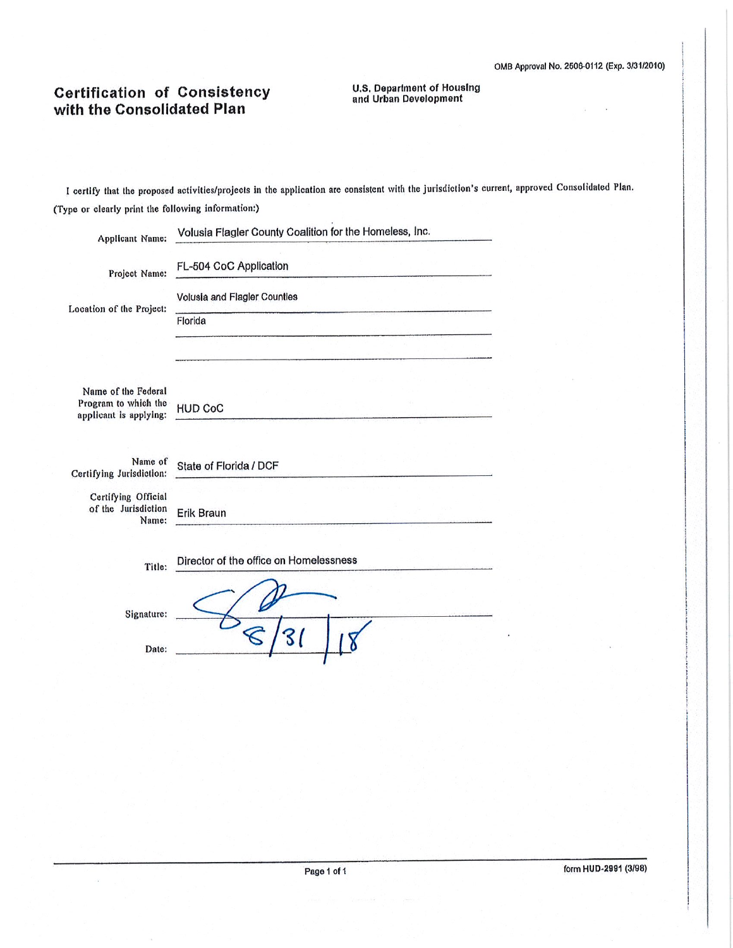# **Certification of Consistency**<br>with the Consolidated Plan

**U.S. Department of Housing<br>and Urban Development** 

I certify that the proposed activities/projects in the application are consistent with the jurisdiction's current, approved Consolidated Plan. (Type or clearly print the following information:)

| Applicant Name:                                     | Volusia Flagler County Coalition for the Homeless, Inc. |
|-----------------------------------------------------|---------------------------------------------------------|
| Project Name:                                       | FL-504 CoC Application                                  |
| Location of the Project:                            | Volusia and Flagler Counties                            |
|                                                     | Florida                                                 |
|                                                     |                                                         |
| Name of the Federal                                 |                                                         |
| Program to which the<br>applicant is applying:      | <b>HUD CoC</b>                                          |
| Name of<br>Certifying Jurisdiction:                 | State of Florida / DCF                                  |
| Certifying Official<br>of the Jurisdiction<br>Name: | <b>Erik Braun</b>                                       |
| Title:                                              | Director of the office on Homelessness                  |
| Signature:                                          |                                                         |
| Date:                                               |                                                         |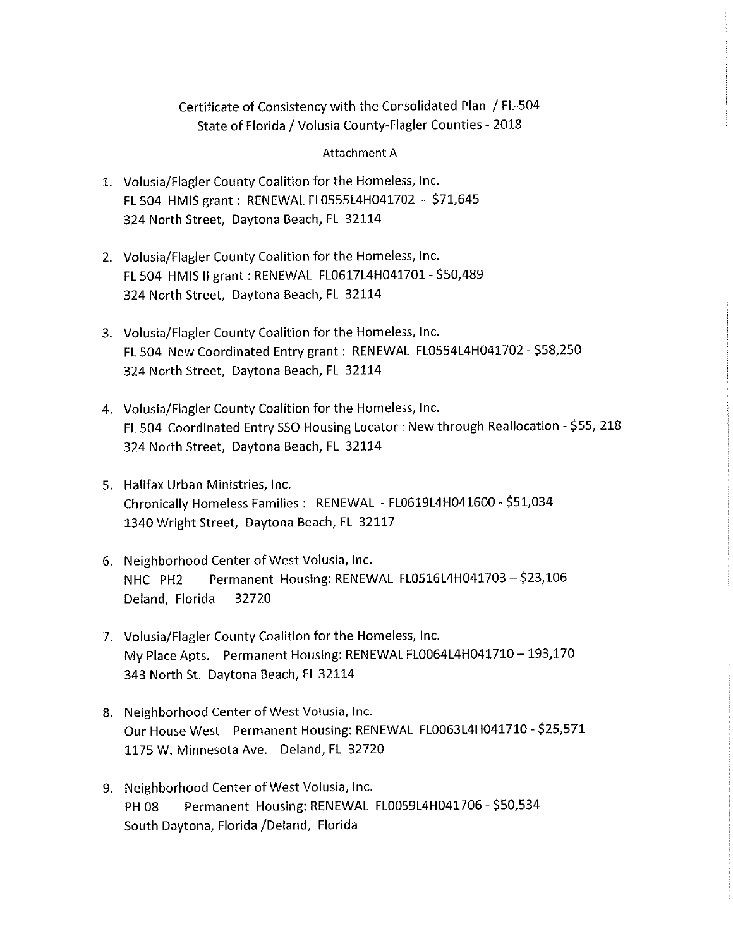#### Certificate of Consistency with the Consolidated Plan / FL-504 State of Florida / Volusia County-Flagler Counties - 2018

#### **Attachment A**

- 1. Volusia/Flagler County Coalition for the Homeless, Inc. FL 504 HMIS grant: RENEWAL FL0555L4H041702 - \$71,645 324 North Street, Daytona Beach, FL 32114
- 2. Volusia/Flagler County Coalition for the Homeless, Inc. FL 504 HMIS II grant : RENEWAL FL0617L4H041701 - \$50,489 324 North Street, Daytona Beach, FL 32114
- 3. Volusia/Flagler County Coalition for the Homeless, Inc. FL 504 New Coordinated Entry grant : RENEWAL FL0554L4H041702 - \$58,250 324 North Street, Daytona Beach, FL 32114
- 4. Volusia/Flagler County Coalition for the Homeless, Inc. FL 504 Coordinated Entry SSO Housing Locator: New through Reallocation - \$55, 218 324 North Street, Daytona Beach, FL 32114
- 5. Halifax Urban Ministries, Inc. Chronically Homeless Families : RENEWAL - FL0619L4H041600 - \$51,034 1340 Wright Street, Daytona Beach, FL 32117
- 6. Neighborhood Center of West Volusia, Inc. Permanent Housing: RENEWAL FL0516L4H041703 - \$23,106 NHC PH<sub>2</sub> Deland, Florida 32720
- 7. Volusia/Flagler County Coalition for the Homeless, Inc. My Place Apts. Permanent Housing: RENEWAL FL0064L4H041710 - 193,170 343 North St. Daytona Beach, FL 32114
- 8. Neighborhood Center of West Volusia, Inc. Our House West Permanent Housing: RENEWAL FL0063L4H041710 - \$25,571 1175 W. Minnesota Ave. Deland, FL 32720
- 9. Neighborhood Center of West Volusia, Inc. Permanent Housing: RENEWAL FL0059L4H041706 - \$50,534 **PH 08** South Daytona, Florida /Deland, Florida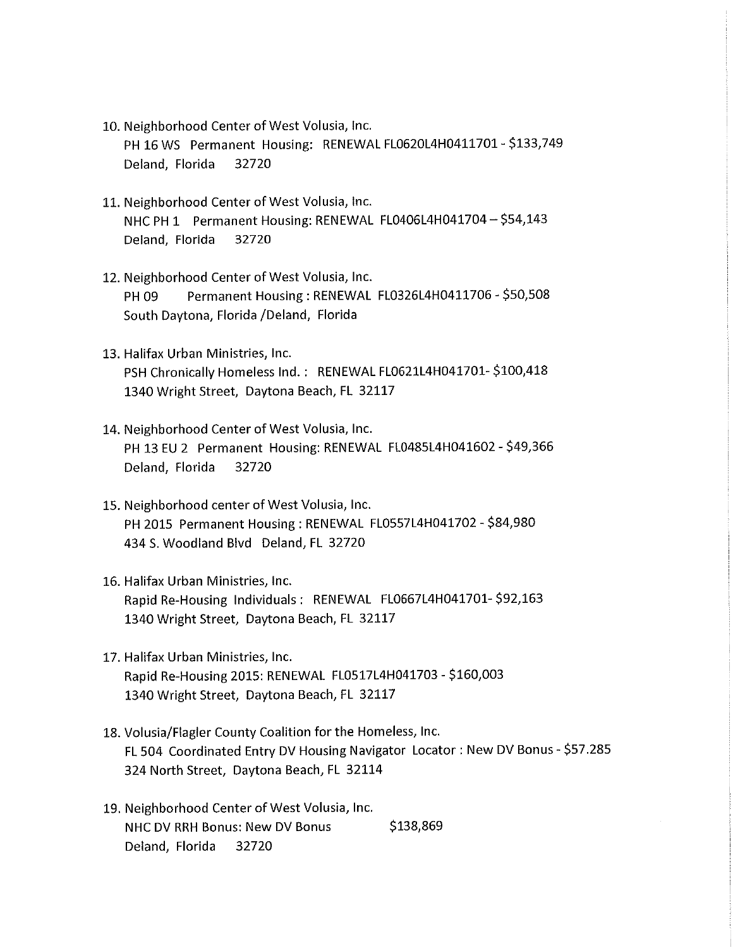- 10. Neighborhood Center of West Volusia, Inc. PH 16 WS Permanent Housing: RENEWAL FL0620L4H0411701 - \$133,749 Deland, Florida 32720
- 11. Neighborhood Center of West Volusia, Inc. NHC PH 1 Permanent Housing: RENEWAL FL0406L4H041704 - \$54,143 Deland, Florida 32720
- 12. Neighborhood Center of West Volusia, Inc. Permanent Housing: RENEWAL FL0326L4H0411706 - \$50,508 PH 09 South Daytona, Florida /Deland, Florida
- 13. Halifax Urban Ministries, Inc. PSH Chronically Homeless Ind.: RENEWAL FL0621L4H041701-\$100,418 1340 Wright Street, Daytona Beach, FL 32117
- 14. Neighborhood Center of West Volusia, Inc. PH 13 EU 2 Permanent Housing: RENEWAL FL0485L4H041602 - \$49,366 Deland, Florida 32720
- 15. Neighborhood center of West Volusia, Inc. PH 2015 Permanent Housing: RENEWAL FL0557L4H041702 - \$84,980 434 S. Woodland Blvd Deland, FL 32720
- 16. Halifax Urban Ministries, Inc. Rapid Re-Housing Individuals: RENEWAL FL0667L4H041701-\$92,163 1340 Wright Street, Daytona Beach, FL 32117
- 17. Halifax Urban Ministries, Inc. Rapid Re-Housing 2015: RENEWAL FL0517L4H041703 - \$160,003 1340 Wright Street, Daytona Beach, FL 32117
- 18. Volusia/Flagler County Coalition for the Homeless, Inc. FL 504 Coordinated Entry DV Housing Navigator Locator: New DV Bonus - \$57.285 324 North Street, Daytona Beach, FL 32114
- 19. Neighborhood Center of West Volusia, Inc. \$138,869 NHC DV RRH Bonus: New DV Bonus Deland, Florida 32720